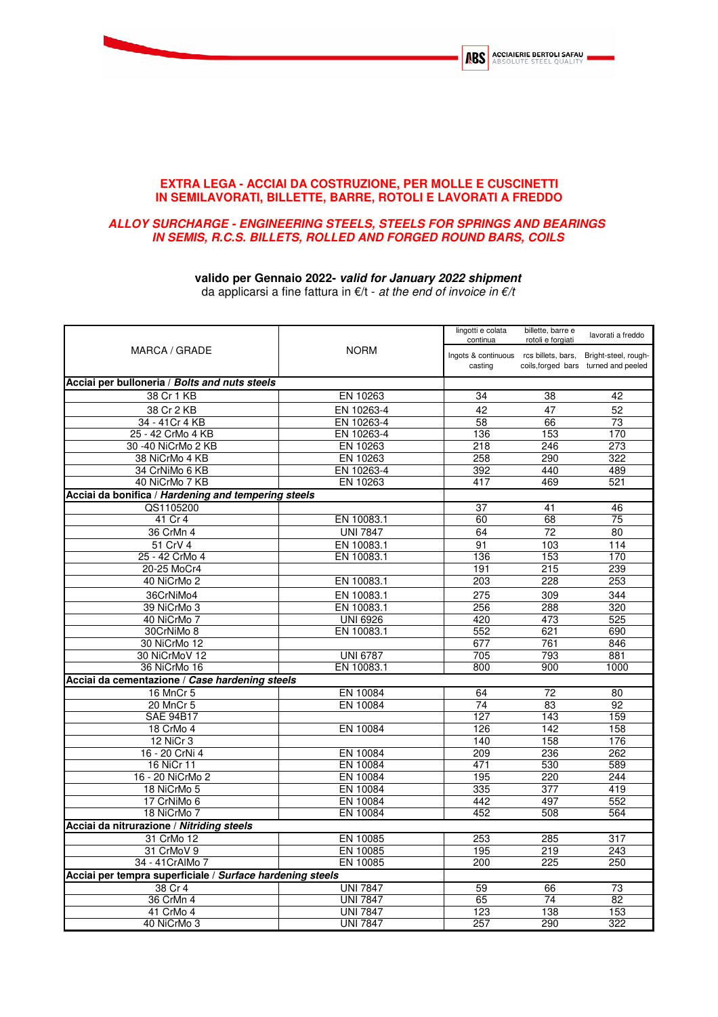

## **EXTRA LEGA - ACCIAI DA COSTRUZIONE, PER MOLLE E CUSCINETTI IN SEMILAVORATI, BILLETTE, BARRE, ROTOLI E LAVORATI A FREDDO**

## **ALLOY SURCHARGE - ENGINEERING STEELS, STEELS FOR SPRINGS AND BEARINGS IN SEMIS, R.C.S. BILLETS, ROLLED AND FORGED ROUND BARS, COILS**

## **valido per Gennaio 2022- valid for January 2022 shipment**

da applicarsi a fine fattura in  $E/t$  - at the end of invoice in  $E/t$ 

| MARCA / GRADE                                             |                 | lingotti e colata<br>billette, barre e<br>continua<br>rotoli e forgiati | lavorati a freddo |                                      |
|-----------------------------------------------------------|-----------------|-------------------------------------------------------------------------|-------------------|--------------------------------------|
|                                                           | <b>NORM</b>     | Ingots & continuous rcs billets, bars, Bright-steel, rough-<br>casting  |                   | coils, forged bars turned and peeled |
| Acciai per bulloneria / Bolts and nuts steels             |                 |                                                                         |                   |                                      |
| 38 Cr 1 KB                                                | EN 10263        | 34                                                                      | $\overline{38}$   | 42                                   |
| 38 Cr 2 KB                                                | EN 10263-4      | 42                                                                      | 47                | 52                                   |
| 34 - 41 Cr 4 KB                                           | EN 10263-4      | 58                                                                      | 66                | 73                                   |
| 25 - 42 CrMo 4 KB                                         | EN 10263-4      | 136                                                                     | 153               | 170                                  |
| 30 -40 NiCrMo 2 KB                                        | EN 10263        | 218                                                                     | 246               | 273                                  |
| 38 NiCrMo 4 KB                                            | EN 10263        | 258                                                                     | 290               | 322                                  |
| 34 CrNiMo 6 KB                                            | EN 10263-4      | 392                                                                     | 440               | 489                                  |
| 40 NiCrMo 7 KB                                            | EN 10263        | 417                                                                     | 469               | 521                                  |
| Acciai da bonifica / Hardening and tempering steels       |                 |                                                                         |                   |                                      |
| QS1105200                                                 |                 | 37                                                                      | 41                | 46                                   |
| 41 Cr 4                                                   | EN 10083.1      | 60                                                                      | 68                | 75                                   |
| 36 CrMn 4                                                 | <b>UNI 7847</b> | 64                                                                      | 72                | 80                                   |
| 51 CrV 4                                                  | EN 10083.1      | 91                                                                      | 103               | 114                                  |
| 25 - 42 CrMo 4                                            | EN 10083.1      | 136                                                                     | 153               | 170                                  |
| 20-25 MoCr4                                               |                 | 191                                                                     | $\overline{215}$  | 239                                  |
| 40 NiCrMo 2                                               | EN 10083.1      | 203                                                                     | 228               | 253                                  |
| 36CrNiMo4                                                 | EN 10083.1      | 275                                                                     | 309               | 344                                  |
| 39 NiCrMo 3                                               | EN 10083.1      | 256                                                                     | 288               | 320                                  |
| 40 NiCrMo 7                                               | <b>UNI 6926</b> | 420                                                                     | 473               | 525                                  |
| 30CrNiMo 8                                                | EN 10083.1      | 552                                                                     | 621               | 690                                  |
| 30 NiCrMo 12                                              |                 | 677                                                                     | 761               | 846                                  |
| 30 NiCrMoV 12                                             | <b>UNI 6787</b> | 705                                                                     | 793               | 881                                  |
| 36 NiCrMo 16                                              | EN 10083.1      | 800                                                                     | 900               | 1000                                 |
| Acciai da cementazione / Case hardening steels            |                 |                                                                         |                   |                                      |
| 16 MnCr 5                                                 | EN 10084        | 64                                                                      | 72                | 80                                   |
| 20 MnCr 5                                                 | EN 10084        | 74                                                                      | 83                | 92                                   |
| <b>SAE 94B17</b>                                          |                 | 127                                                                     | 143               | 159                                  |
| 18 CrMo 4                                                 | EN 10084        | 126                                                                     | 142               | 158                                  |
| 12 NiCr 3                                                 |                 | 140                                                                     | 158               | 176                                  |
| 16 - 20 CrNi 4                                            | EN 10084        | 209                                                                     | 236               | 262                                  |
| 16 NiCr 11                                                | EN 10084        | 471                                                                     | 530               | 589                                  |
| 16 - 20 NiCrMo 2                                          | EN 10084        | 195                                                                     | 220               | 244                                  |
| 18 NiCrMo 5                                               | EN 10084        | 335                                                                     | 377               | 419                                  |
| 17 CrNiMo 6                                               | EN 10084        | 442                                                                     | 497               | 552                                  |
| 18 NiCrMo 7                                               | EN 10084        | 452                                                                     | 508               | 564                                  |
| Acciai da nitrurazione / Nitriding steels                 |                 |                                                                         |                   |                                      |
| 31 CrMo 12                                                | EN 10085        | 253                                                                     | 285               | 317                                  |
| 31 CrMoV 9                                                | EN 10085        | 195                                                                     | 219               | 243                                  |
| 34 - 41 CrAlMo 7                                          | EN 10085        | 200                                                                     | 225               | 250                                  |
| Acciai per tempra superficiale / Surface hardening steels |                 |                                                                         |                   |                                      |
| 38 Cr 4                                                   | <b>UNI 7847</b> | 59                                                                      | 66                | 73                                   |
| 36 CrMn 4                                                 | <b>UNI 7847</b> | 65                                                                      | 74                | 82                                   |
| 41 CrMo 4                                                 | <b>UNI 7847</b> | 123                                                                     | 138               | 153                                  |
| 40 NiCrMo 3                                               | <b>UNI 7847</b> | 257                                                                     | 290               | 322                                  |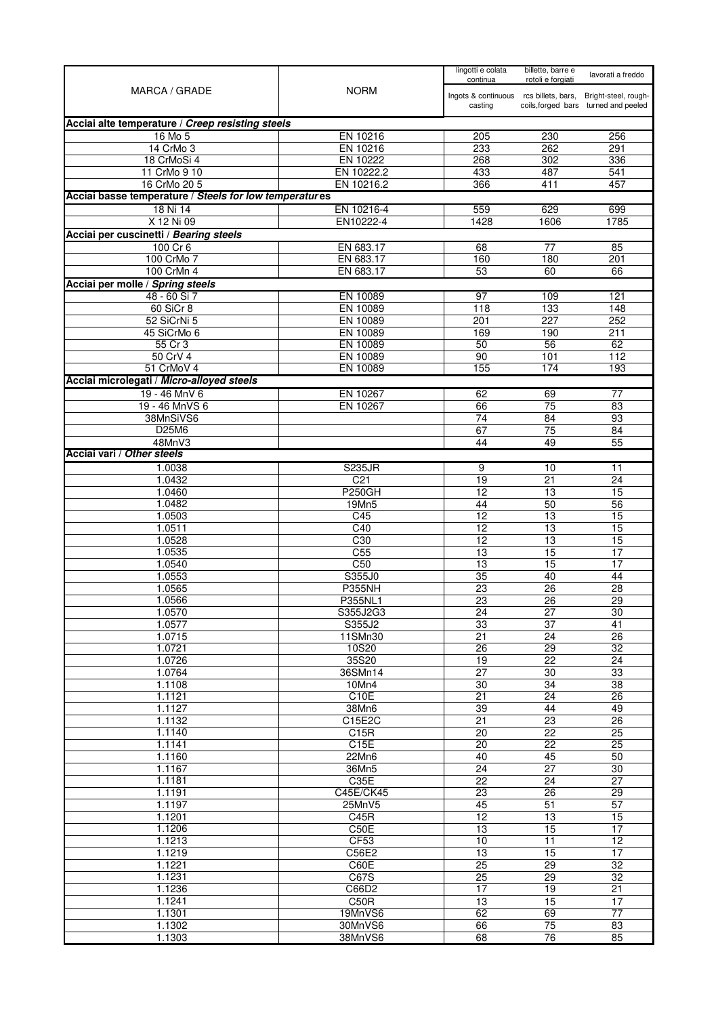| MARCA / GRADE                                          | continua<br><b>NORM</b><br>casting | lingotti e colata                      | billette, barre e<br>rotoli e forgiati | lavorati a freddo                    |
|--------------------------------------------------------|------------------------------------|----------------------------------------|----------------------------------------|--------------------------------------|
|                                                        |                                    | Ingots & continuous rcs billets, bars, |                                        | Bright-steel, rough-                 |
|                                                        |                                    |                                        |                                        | coils, forged bars turned and peeled |
| Acciai alte temperature / Creep resisting steels       |                                    |                                        |                                        |                                      |
| 16 Mo 5                                                | EN 10216                           | 205                                    | 230                                    | 256                                  |
| 14 CrMo 3<br>18 CrMoSi 4                               | EN 10216<br>EN 10222               | 233<br>268                             | 262<br>302                             | 291<br>336                           |
| 11 CrMo 9 10                                           | EN 10222.2                         | 433                                    | 487                                    | 541                                  |
| 16 CrMo 20 5                                           | EN 10216.2                         | 366                                    | 411                                    | 457                                  |
| Acciai basse temperature / Steels for low temperatures |                                    |                                        |                                        |                                      |
| 18 Ni 14                                               | EN 10216-4                         | 559                                    | 629                                    | 699                                  |
| X 12 Ni 09                                             | EN10222-4                          | 1428                                   | 1606                                   | 1785                                 |
| Acciai per cuscinetti / Bearing steels<br>$100$ Cr 6   | EN 683.17                          | 68                                     | 77                                     | 85                                   |
| 100 CrMo 7                                             | EN 683.17                          | 160                                    | 180                                    | 201                                  |
| 100 CrMn 4                                             | EN 683.17                          | 53                                     | 60                                     | 66                                   |
| Acciai per molle / Spring steels                       |                                    |                                        |                                        |                                      |
| 48 - 60 Si 7                                           | EN 10089                           | 97                                     | 109                                    | 121                                  |
| 60 SiCr 8                                              | EN 10089                           | 118                                    | 133                                    | 148                                  |
| 52 SiCrNi 5                                            | EN 10089                           | 201                                    | 227                                    | 252                                  |
| 45 SiCrMo 6<br>55 Cr 3                                 | EN 10089<br>EN 10089               | 169<br>50                              | 190<br>$\overline{56}$                 | 211<br>62                            |
| 50 CrV 4                                               | EN 10089                           | 90                                     | 101                                    | 112                                  |
| 51 CrMoV 4                                             | EN 10089                           | 155                                    | 174                                    | 193                                  |
| Acciai microlegati / Micro-alloyed steels              |                                    |                                        |                                        |                                      |
| 19 - 46 MnV 6                                          | EN 10267                           | 62                                     | 69                                     | 77                                   |
| 19 - 46 MnVS 6                                         | EN 10267                           | 66                                     | 75                                     | 83                                   |
| 38MnSiVS6                                              |                                    | 74                                     | 84                                     | 93                                   |
| D25M6<br>48MnV3                                        |                                    | 67<br>44                               | 75<br>49                               | 84<br>55                             |
| Acciai vari / Other steels                             |                                    |                                        |                                        |                                      |
| 1.0038                                                 | <b>S235JR</b>                      | 9                                      | 10                                     | 11                                   |
| 1.0432                                                 | C <sub>21</sub>                    | 19                                     | 21                                     | 24                                   |
| 1.0460                                                 | <b>P250GH</b>                      | $\overline{12}$                        | $\overline{13}$                        | 15                                   |
| 1.0482                                                 | 19Mn5                              | 44                                     | 50                                     | 56                                   |
| 1.0503<br>1.0511                                       | C45<br>$\overline{C40}$            | 12<br>12                               | 13<br>$\overline{13}$                  | 15                                   |
| 1.0528                                                 | C30                                | 12                                     | 13                                     | 15<br>15                             |
| 1.0535                                                 | C <sub>55</sub>                    | 13                                     | 15                                     | 17                                   |
| 1.0540                                                 | C50                                | 13                                     | 15                                     | 17                                   |
| 1.0553                                                 | S355J0                             | 35                                     | 40                                     | 44                                   |
| 1.0565                                                 | <b>P355NH</b>                      | 23                                     | 26                                     | 28                                   |
| 1.0566<br>1.0570                                       | P355NL1<br>S355J2G3                | 23<br>24                               | 26<br>27                               | 29<br>30                             |
| 1.0577                                                 | S355J2                             | 33                                     | 37                                     | 41                                   |
| 1.0715                                                 | 11SMn30                            | $\overline{21}$                        | $\overline{24}$                        | $\overline{26}$                      |
| 1.0721                                                 | 10S20                              | $\overline{26}$                        | 29                                     | 32                                   |
| 1.0726                                                 | 35S20                              | 19                                     | 22                                     | 24                                   |
| 1.0764                                                 | 36SMn14                            | 27                                     | 30                                     | 33                                   |
| 1.1108<br>1.1121                                       | 10Mn4<br>C10E                      | 30<br>21                               | 34<br>24                               | 38<br>26                             |
| 1.1127                                                 | 38Mn6                              | $\overline{39}$                        | 44                                     | 49                                   |
| 1.1132                                                 | C15E2C                             | 21                                     | 23                                     | 26                                   |
| 1.1140                                                 | C15R                               | $\overline{20}$                        | 22                                     | 25                                   |
| 1.1141                                                 | C15E                               | 20                                     | $\overline{22}$                        | 25                                   |
| 1.1160                                                 | 22Mn6                              | 40                                     | 45                                     | 50                                   |
| 1.1167<br>1.1181                                       | 36Mn5<br>C35E                      | 24<br>$\overline{22}$                  | 27<br>$\overline{24}$                  | 30<br>27                             |
| 1.1191                                                 | C45E/CK45                          | 23                                     | 26                                     | 29                                   |
| 1.1197                                                 | 25MnV5                             | 45                                     | 51                                     | $\overline{57}$                      |
| 1.1201                                                 | C45R                               | 12                                     | 13                                     | 15                                   |
| 1.1206                                                 | C50E                               | 13                                     | 15                                     | 17                                   |
| 1.1213                                                 | CF53                               | 10                                     | $\overline{11}$                        | $\overline{12}$                      |
| 1.1219<br>1.1221                                       | C56E2<br>C60E                      | 13<br>25                               | $\overline{15}$<br>$\overline{29}$     | 17<br>$\overline{32}$                |
| 1.1231                                                 | C67S                               | 25                                     | $\overline{29}$                        | $\overline{32}$                      |
| 1.1236                                                 | C66D2                              | 17                                     | 19                                     | 21                                   |
| 1.1241                                                 | C50R                               | 13                                     | 15                                     | 17                                   |
| 1.1301                                                 | 19MnVS6                            | 62                                     | 69                                     | 77                                   |
| 1.1302                                                 | 30MnVS6                            | 66                                     | 75                                     | 83                                   |
| 1.1303                                                 | 38MnVS6                            | 68                                     | 76                                     | 85                                   |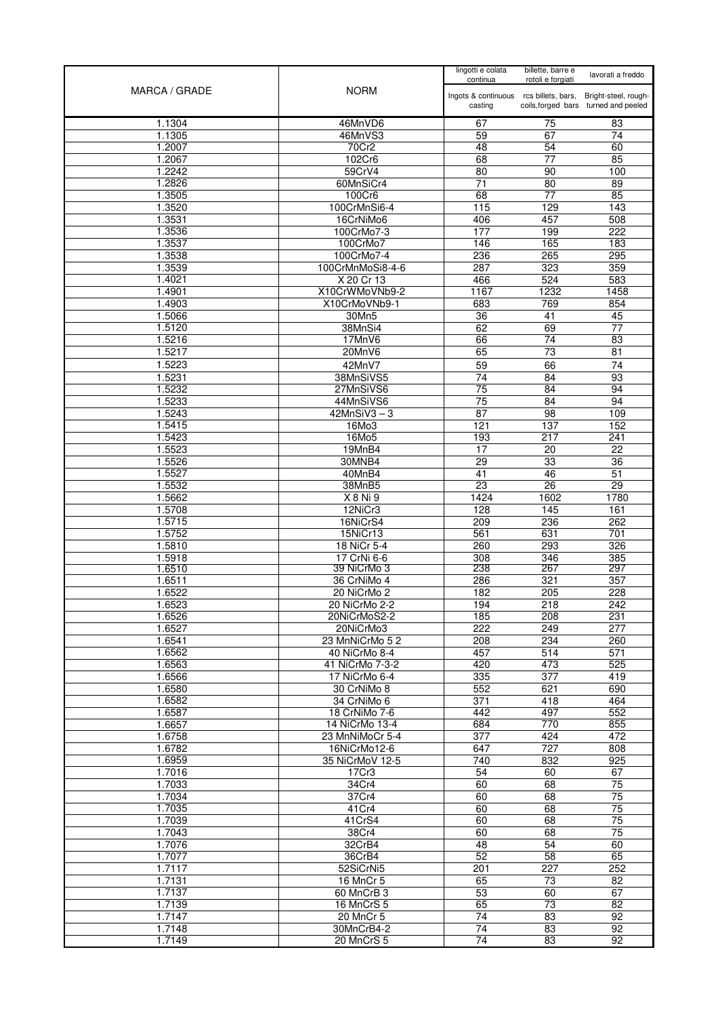| MARCA / GRADE    | <b>NORM</b>                     | lingotti e colata<br>continua                     | billette, barre e<br>rotoli e forgiati | lavorati a freddo                                            |
|------------------|---------------------------------|---------------------------------------------------|----------------------------------------|--------------------------------------------------------------|
|                  |                                 | Ingots & continuous rcs billets, bars,<br>casting |                                        | Bright-steel, rough-<br>coils, forged bars turned and peeled |
| 1.1304           | 46MnVD6                         | 67                                                | 75                                     | 83                                                           |
| 1.1305           | 46MnVS3                         | 59                                                | 67                                     | 74                                                           |
| 1.2007           | 70Cr2                           | 48                                                | 54                                     | 60                                                           |
| 1.2067           | 102Cr6                          | 68                                                | 77                                     | 85                                                           |
| 1.2242           | 59CrV4                          | 80                                                | 90                                     | 100                                                          |
| 1.2826<br>1.3505 | 60MnSiCr4<br>100Cr6             | 71<br>68                                          | 80<br>$\overline{77}$                  | 89<br>85                                                     |
| 1.3520           | 100CrMnSi6-4                    | 115                                               | 129                                    | 143                                                          |
| 1.3531           | 16CrNiMo6                       | 406                                               | 457                                    | 508                                                          |
| 1.3536           | 100CrMo7-3                      | 177                                               | 199                                    | $\overline{222}$                                             |
| 1.3537           | 100CrMo7                        | 146                                               | 165                                    | 183                                                          |
| 1.3538           | 100CrMo7-4                      | 236                                               | 265                                    | 295                                                          |
| 1.3539           | 100CrMnMoSi8-4-6                | 287                                               | 323                                    | 359                                                          |
| 1.4021           | X 20 Cr 13                      | 466                                               | 524                                    | 583                                                          |
| 1.4901<br>1.4903 | X10CrWMoVNb9-2<br>X10CrMoVNb9-1 | 1167<br>683                                       | 1232<br>769                            | 1458<br>854                                                  |
| 1.5066           | 30Mn5                           | 36                                                | 41                                     | 45                                                           |
| 1.5120           | 38MnSi4                         | 62                                                | 69                                     | 77                                                           |
| 1.5216           | 17MnV6                          | 66                                                | 74                                     | $\overline{83}$                                              |
| 1.5217           | 20MnV6                          | 65                                                | $\overline{73}$                        | $\overline{81}$                                              |
| 1.5223           | 42MnV7                          | 59                                                | 66                                     | 74                                                           |
| 1.5231           | 38MnSiVS5                       | 74                                                | 84                                     | 93                                                           |
| 1.5232           | 27MnSiVS6                       | 75                                                | $\overline{84}$                        | 94                                                           |
| 1.5233<br>1.5243 | 44MnSiVS6<br>$42MnSiV3-3$       | 75<br>$\overline{87}$                             | 84<br>$\overline{98}$                  | 94<br>109                                                    |
| 1.5415           | 16Mo3                           | 121                                               | 137                                    | 152                                                          |
| 1.5423           | 16Mo5                           | 193                                               | 217                                    | 241                                                          |
| 1.5523           | 19MnB4                          | 17                                                | 20                                     | 22                                                           |
| 1.5526           | 30MNB4                          | $\overline{29}$                                   | 33                                     | 36                                                           |
| 1.5527           | 40MnB4                          | $\overline{41}$                                   | 46                                     | 51                                                           |
| 1.5532           | 38MnB5                          | 23                                                | $\overline{26}$                        | 29                                                           |
| 1.5662           | X 8 Ni 9                        | 1424<br>128                                       | 1602                                   | 1780<br>161                                                  |
| 1.5708<br>1.5715 | 12NiCr3<br>16NiCrS4             | 209                                               | 145<br>236                             | 262                                                          |
| 1.5752           | 15NiCr13                        | 561                                               | 631                                    | 701                                                          |
| 1.5810           | 18 NiCr 5-4                     | 260                                               | 293                                    | 326                                                          |
| 1.5918           | 17 CrNi 6-6                     | 308                                               | 346                                    | 385                                                          |
| 1.6510           | 39 NiCrMo 3                     | 238                                               | 267                                    | 297                                                          |
| 1.6511<br>1.6522 | 36 CrNiMo 4<br>20 NiCrMo 2      | 286<br>182                                        | 321<br>205                             | 357<br>228                                                   |
| 1.6523           | 20 NiCrMo 2-2                   | 194                                               | 218                                    | 242                                                          |
| 1.6526           | 20NiCrMoS2-2                    | 185                                               | 208                                    | 231                                                          |
| 1.6527           | 20NiCrMo3                       | 222                                               | 249                                    | 277                                                          |
| 1.6541           | 23 MnNiCrMo 52                  | 208                                               | 234                                    | 260                                                          |
| 1.6562           | 40 NiCrMo 8-4                   | 457                                               | 514                                    | 571                                                          |
| 1.6563           | 41 NiCrMo 7-3-2                 | 420                                               | 473                                    | 525                                                          |
| 1.6566<br>1.6580 | 17 NiCrMo 6-4<br>30 CrNiMo 8    | 335<br>552                                        | 377<br>621                             | 419<br>690                                                   |
| 1.6582           | 34 CrNiMo 6                     | 371                                               | 418                                    | 464                                                          |
| 1.6587           | 18 CrNiMo 7-6                   | 442                                               | 497                                    | 552                                                          |
| 1.6657           | 14 NiCrMo 13-4                  | 684                                               | 770                                    | 855                                                          |
| 1.6758           | 23 MnNiMoCr 5-4                 | 377                                               | 424                                    | 472                                                          |
| 1.6782           | 16NiCrMo12-6                    | 647                                               | 727                                    | 808                                                          |
| 1.6959<br>1.7016 | 35 NiCrMoV 12-5<br>17Cr3        | 740<br>54                                         | 832<br>60                              | 925<br>67                                                    |
| 1.7033           | 34Cr4                           | 60                                                | 68                                     | 75                                                           |
| 1.7034           | 37Cr4                           | 60                                                | 68                                     | $\overline{75}$                                              |
| 1.7035           | 41 Cr4                          | 60                                                | 68                                     | $\overline{75}$                                              |
| 1.7039           | 41CrS4                          | 60                                                | 68                                     | 75                                                           |
| 1.7043           | 38Cr4                           | 60                                                | 68                                     | $\overline{75}$                                              |
| 1.7076           | 32CrB4                          | 48                                                | $\overline{54}$                        | 60                                                           |
| 1.7077<br>1.7117 | 36CrB4<br>52SiCrNi5             | 52<br>201                                         | 58<br>227                              | 65<br>252                                                    |
| 1.7131           | 16 MnCr 5                       | 65                                                | 73                                     | 82                                                           |
| 1.7137           | 60 MnCrB 3                      | 53                                                | 60                                     | 67                                                           |
| 1.7139           | 16 MnCrS 5                      | 65                                                | 73                                     | 82                                                           |
| 1.7147           | 20 MnCr 5                       | 74                                                | 83                                     | 92                                                           |
| 1.7148           | 30MnCrB4-2                      | 74                                                | 83                                     | 92                                                           |
| 1.7149           | 20 MnCrS 5                      | 74                                                | 83                                     | 92                                                           |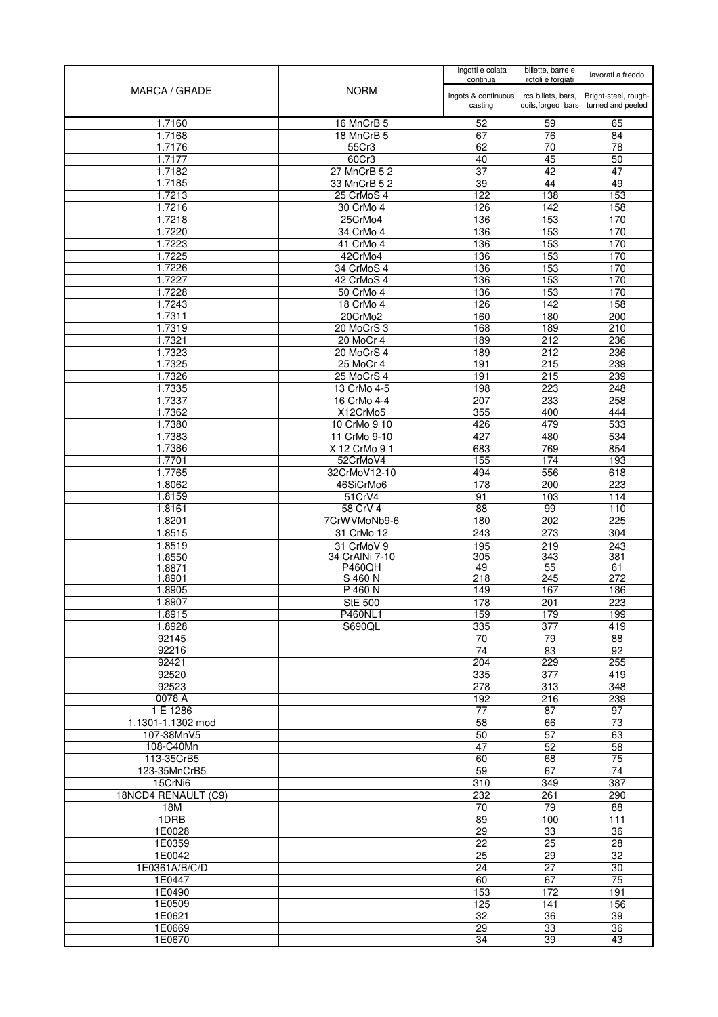| MARCA / GRADE           | <b>NORM</b>                     | lingotti e colata<br>continua          | billette, barre e<br>rotoli e forgiati | lavorati a freddo                    |
|-------------------------|---------------------------------|----------------------------------------|----------------------------------------|--------------------------------------|
|                         |                                 | Ingots & continuous rcs billets, bars, |                                        | Bright-steel, rough-                 |
|                         |                                 | casting                                |                                        | coils, forged bars turned and peeled |
| 1.7160                  | 16 MnCrB 5                      | 52                                     | 59                                     | 65                                   |
| 1.7168                  | 18 MnCrB 5                      | 67                                     | 76                                     | 84                                   |
| 1.7176<br>1.7177        | 55Cr3<br>60Cr3                  | 62<br>40                               | 70<br>45                               | 78<br>50                             |
| 1.7182                  | 27 MnCrB 5 2                    | $\overline{37}$                        | 42                                     | $\overline{47}$                      |
| 1.7185                  | 33 MnCrB 5 2                    | 39                                     | 44                                     | 49                                   |
| 1.7213                  | 25 CrMoS 4                      | 122                                    | 138                                    | 153                                  |
| 1.7216<br>1.7218        | 30 CrMo 4<br>25CrMo4            | 126<br>136                             | 142<br>153                             | 158<br>170                           |
| 1.7220                  | 34 CrMo 4                       | 136                                    | 153                                    | 170                                  |
| 1.7223                  | 41 CrMo 4                       | 136                                    | 153                                    | 170                                  |
| 1.7225                  | 42CrMo4                         | 136                                    | 153                                    | 170                                  |
| 1.7226                  | 34 CrMoS 4                      | 136                                    | 153                                    | 170                                  |
| 1.7227<br>1.7228        | 42 CrMoS 4<br>50 CrMo 4         | 136<br>136                             | 153<br>153                             | 170<br>170                           |
| 1.7243                  | 18 CrMo 4                       | 126                                    | $\overline{142}$                       | 158                                  |
| 1.7311                  | 20CrMo2                         | 160                                    | 180                                    | 200                                  |
| 1.7319                  | 20 MoCrS 3                      | 168                                    | 189                                    | 210                                  |
| 1.7321<br>1.7323        | 20 MoCr 4<br>20 MoCrS 4         | 189<br>189                             | $\overline{212}$<br>212                | 236<br>236                           |
| 1.7325                  | 25 MoCr 4                       | 191                                    | 215                                    | 239                                  |
| 1.7326                  | 25 MoCrS 4                      | 191                                    | 215                                    | 239                                  |
| 1.7335                  | 13 CrMo 4-5                     | 198                                    | 223                                    | 248                                  |
| 1.7337                  | 16 CrMo 4-4                     | 207                                    | 233                                    | 258                                  |
| 1.7362                  | X12CrMo5                        | 355<br>426                             | 400<br>479                             | 444<br>533                           |
| 1.7380<br>1.7383        | 10 CrMo 9 10<br>11 CrMo 9-10    | 427                                    | 480                                    | 534                                  |
| 1.7386                  | X 12 CrMo 9 1                   | 683                                    | 769                                    | 854                                  |
| 1.7701                  | 52CrMoV4                        | 155                                    | 174                                    | 193                                  |
| 1.7765                  | 32CrMoV12-10                    | 494                                    | 556                                    | 618                                  |
| 1.8062                  | 46SiCrMo6                       | 178                                    | 200                                    | 223                                  |
| 1.8159<br>1.8161        | 51CrV4<br>58 CrV 4              | 91<br>88                               | 103<br>99                              | 114<br>110                           |
| 1.8201                  | 7CrWVMoNb9-6                    | 180                                    | 202                                    | 225                                  |
| 1.8515                  | 31 CrMo 12                      | 243                                    | 273                                    | 304                                  |
| 1.8519                  | 31 CrMoV 9                      | 195                                    | 219                                    | 243                                  |
| 1.8550                  | 34 CrAINi 7-10<br><b>P460QH</b> | 305<br>49                              | 343<br>55                              | 381<br>61                            |
| 1.8871<br>1.8901        | S 460 N                         | 218                                    | 245                                    | 272                                  |
| 1.8905                  | P 460 N                         | 149                                    | 167                                    | 186                                  |
| 1.8907                  | <b>StE 500</b>                  | 178                                    | 201                                    | 223                                  |
| 1.8915                  | <b>P460NL1</b>                  | 159                                    | 179                                    | 199                                  |
| 1.8928<br>92145         | S690QL                          | 335<br>70                              | $\overline{377}$<br>79                 | 419<br>88                            |
| 92216                   |                                 | 74                                     | $\overline{83}$                        | $\overline{92}$                      |
| 92421                   |                                 | 204                                    | 229                                    | 255                                  |
| 92520                   |                                 | 335                                    | 377                                    | 419                                  |
| 92523                   |                                 | $\overline{278}$                       | 313                                    | 348                                  |
| 0078 A<br>1 E 1286      |                                 | 192<br>77                              | 216<br>87                              | 239<br>97                            |
| 1.1301-1.1302 mod       |                                 | $\overline{58}$                        | 66                                     | $\overline{73}$                      |
| 107-38MnV5              |                                 | 50                                     | 57                                     | 63                                   |
| 108-C40Mn               |                                 | $\overline{47}$                        | 52                                     | 58                                   |
| 113-35CrB5              |                                 | 60                                     | 68                                     | 75                                   |
| 123-35MnCrB5<br>15CrNi6 |                                 | 59<br>310                              | 67<br>349                              | $\overline{74}$<br>387               |
| 18NCD4 RENAULT (C9)     |                                 | 232                                    | 261                                    | 290                                  |
| 18M                     |                                 | 70                                     | 79                                     | 88                                   |
| 1DRB                    |                                 | 89                                     | 100                                    | $\overline{111}$                     |
| 1E0028                  |                                 | $\overline{29}$                        | 33                                     | $\overline{36}$                      |
| 1E0359<br>1E0042        |                                 | 22<br>$\overline{25}$                  | 25<br>$\overline{29}$                  | 28<br>$\overline{32}$                |
| 1E0361A/B/C/D           |                                 | $\overline{24}$                        | $\overline{27}$                        | 30                                   |
| 1E0447                  |                                 | 60                                     | 67                                     | 75                                   |
| 1E0490                  |                                 | 153                                    | 172                                    | 191                                  |
| 1E0509                  |                                 | 125                                    | 141                                    | 156                                  |
| 1E0621                  |                                 | 32                                     | 36                                     | 39                                   |
| 1E0669<br>1E0670        |                                 | 29<br>34                               | 33<br>39                               | $\overline{36}$<br>43                |
|                         |                                 |                                        |                                        |                                      |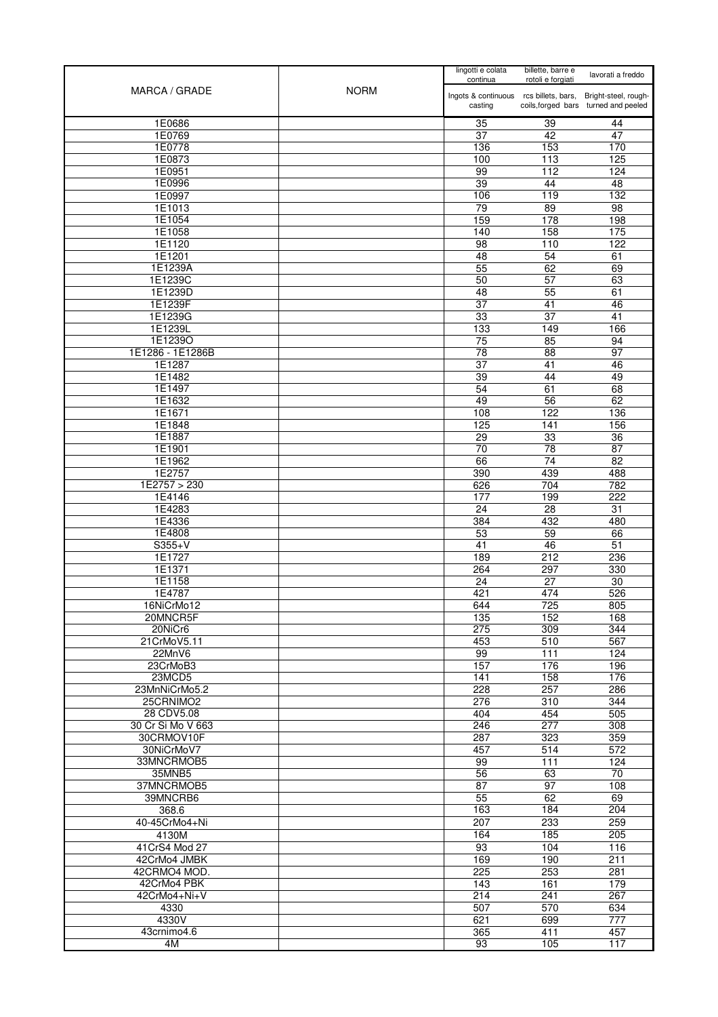| MARCA / GRADE           | <b>NORM</b> | lingotti e colata<br>continua                     | billette, barre e<br>rotoli e forgiati | lavorati a freddo                                            |
|-------------------------|-------------|---------------------------------------------------|----------------------------------------|--------------------------------------------------------------|
|                         |             | Ingots & continuous rcs billets, bars,<br>casting |                                        | Bright-steel, rough-<br>coils, forged bars turned and peeled |
| 1E0686                  |             |                                                   |                                        |                                                              |
| 1E0769                  |             | 35<br>37                                          | 39<br>42                               | 44<br>47                                                     |
| 1E0778                  |             | 136                                               | 153                                    | 170                                                          |
| 1E0873                  |             | 100                                               | 113                                    | 125                                                          |
| 1E0951                  |             | 99                                                | 112                                    | 124                                                          |
| 1E0996                  |             | 39                                                | 44                                     | 48                                                           |
| 1E0997<br>1E1013        |             | 106<br>79                                         | 119<br>89                              | 132<br>$\overline{98}$                                       |
| 1E1054                  |             | 159                                               | 178                                    | 198                                                          |
| 1E1058                  |             | 140                                               | 158                                    | 175                                                          |
| 1E1120                  |             | 98                                                | 110                                    | 122                                                          |
| 1E1201                  |             | 48                                                | 54                                     | 61                                                           |
| 1E1239A                 |             | 55                                                | 62                                     | 69                                                           |
| 1E1239C<br>1E1239D      |             | 50<br>48                                          | 57<br>55                               | 63<br>61                                                     |
| 1E1239F                 |             | $\overline{37}$                                   | $\overline{41}$                        | 46                                                           |
| 1E1239G                 |             | 33                                                | $\overline{37}$                        | $\overline{41}$                                              |
| 1E1239L                 |             | 133                                               | 149                                    | 166                                                          |
| 1E1239O                 |             | 75                                                | 85                                     | 94                                                           |
| 1E1286 - 1E1286B        |             | 78                                                | 88                                     | 97                                                           |
| 1E1287<br>1E1482        |             | 37<br>$\overline{39}$                             | 41<br>44                               | 46<br>49                                                     |
| 1E1497                  |             | 54                                                | 61                                     | 68                                                           |
| 1E1632                  |             | 49                                                | 56                                     | 62                                                           |
| 1E1671                  |             | 108                                               | 122                                    | 136                                                          |
| 1E1848                  |             | 125                                               | 141                                    | 156                                                          |
| 1E1887                  |             | 29                                                | 33                                     | 36                                                           |
| 1E1901                  |             | $\overline{70}$                                   | $\overline{78}$                        | $\overline{87}$                                              |
| 1E1962<br>1E2757        |             | 66<br>390                                         | $\overline{74}$<br>439                 | $\overline{82}$<br>488                                       |
| 1E2757 > 230            |             | 626                                               | 704                                    | 782                                                          |
| 1E4146                  |             | 177                                               | 199                                    | 222                                                          |
| 1E4283                  |             | 24                                                | 28                                     | 31                                                           |
| 1E4336                  |             | 384                                               | 432                                    | 480                                                          |
| 1E4808                  |             | 53                                                | 59                                     | 66                                                           |
| $S355+V$<br>1E1727      |             | 41<br>189                                         | 46<br>212                              | 51<br>236                                                    |
| 1E1371                  |             | 264                                               | 297                                    | 330                                                          |
| 1E1158                  |             | 24                                                | 27                                     | 30                                                           |
| 1E4787                  |             | 421                                               | 474                                    | 526                                                          |
| 16NiCrMo12              |             | 644                                               | 725                                    | 805                                                          |
| 20MNCR5F                |             | 135                                               | 152                                    | 168                                                          |
| 20NiCr6<br>21CrMoV5.11  |             | 275<br>453                                        | 309<br>510                             | 344<br>567                                                   |
| 22MnV6                  |             | 99                                                | 111                                    | 124                                                          |
| 23CrMoB3                |             | 157                                               | 176                                    | 196                                                          |
| 23MCD5                  |             | 141                                               | 158                                    | 176                                                          |
| 23MnNiCrMo5.2           |             | 228                                               | 257                                    | 286                                                          |
| 25CRNIMO2<br>28 CDV5.08 |             | 276<br>404                                        | $\overline{310}$<br>454                | 344<br>505                                                   |
| 30 Cr Si Mo V 663       |             | 246                                               | 277                                    | 308                                                          |
| 30CRMOV10F              |             | 287                                               | 323                                    | 359                                                          |
| 30NiCrMoV7              |             | 457                                               | 514                                    | 572                                                          |
| 33MNCRMOB5              |             | 99                                                | 111                                    | 124                                                          |
| 35MNB5                  |             | 56                                                | 63                                     | 70                                                           |
| 37MNCRMOB5<br>39MNCRB6  |             | 87<br>55                                          | 97<br>62                               | 108<br>69                                                    |
| 368.6                   |             | 163                                               | 184                                    | 204                                                          |
| 40-45CrMo4+Ni           |             | 207                                               | 233                                    | 259                                                          |
| 4130M                   |             | 164                                               | 185                                    | 205                                                          |
| 41CrS4 Mod 27           |             | 93                                                | 104                                    | 116                                                          |
| 42CrMo4 JMBK            |             | 169                                               | 190                                    | 211                                                          |
| 42CRMO4 MOD.            |             | 225                                               | 253                                    | 281                                                          |
| 42CrMo4 PBK             |             | 143                                               | 161                                    | 179                                                          |
| 42CrMo4+Ni+V<br>4330    |             | 214<br>507                                        | 241<br>570                             | 267<br>634                                                   |
| 4330V                   |             | 621                                               | 699                                    | 777                                                          |
| 43crnimo4.6             |             | 365                                               | 411                                    | 457                                                          |
| 4M                      |             | 93                                                | 105                                    | 117                                                          |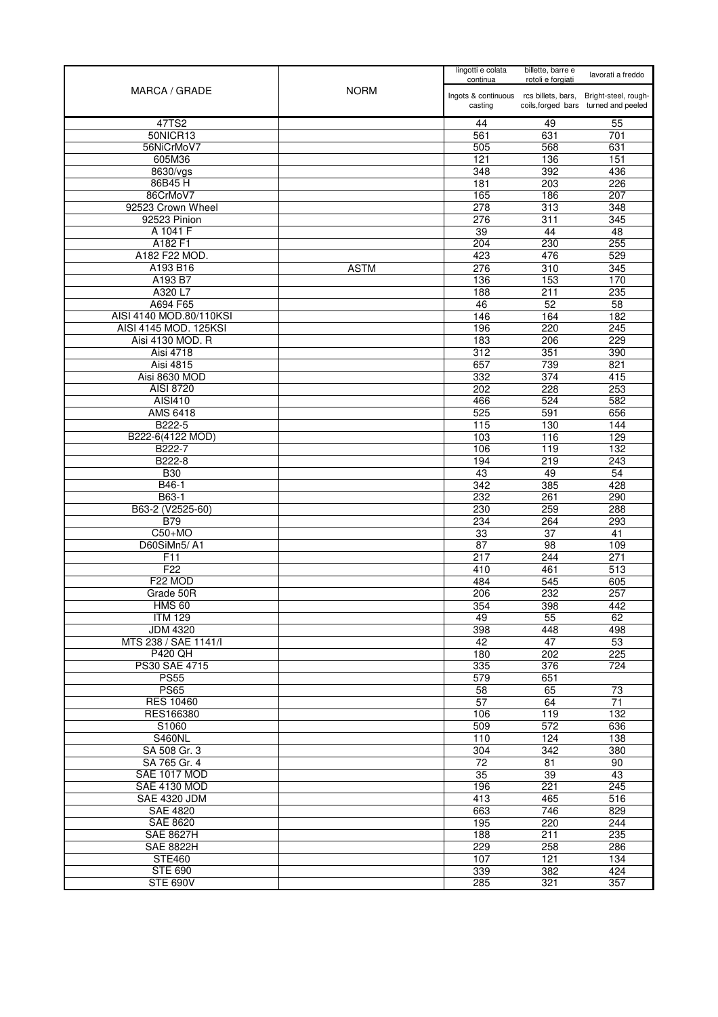|                                     |             | lingotti e colata<br>continua                     | billette, barre e<br>rotoli e forgiati | lavorati a freddo                                            |
|-------------------------------------|-------------|---------------------------------------------------|----------------------------------------|--------------------------------------------------------------|
| MARCA / GRADE                       | <b>NORM</b> | Ingots & continuous rcs billets, bars,<br>casting |                                        | Bright-steel, rough-<br>coils, forged bars turned and peeled |
| 47TS2                               |             | 44                                                | 49                                     | 55                                                           |
| 50NICR13                            |             | 561                                               | 631                                    | 701                                                          |
| 56NiCrMoV7                          |             | 505                                               | 568                                    | 631                                                          |
| 605M36                              |             | 121                                               | 136                                    | 151                                                          |
| 8630/vgs                            |             | 348                                               | 392                                    | 436                                                          |
| 86B45H                              |             | 181                                               | 203                                    | 226                                                          |
| 86CrMoV7                            |             | 165                                               | 186                                    | 207                                                          |
| 92523 Crown Wheel                   |             | 278                                               | 313                                    | 348                                                          |
| 92523 Pinion                        |             | 276                                               | 311                                    | 345                                                          |
| A 1041 F                            |             | 39                                                | 44                                     | 48                                                           |
| A182 F1                             |             | 204                                               | 230                                    | 255                                                          |
| A182 F22 MOD.                       |             | 423                                               | 476                                    | 529                                                          |
| A193 B16                            | <b>ASTM</b> | 276                                               | 310                                    | 345                                                          |
| A193 B7                             |             | 136                                               | 153                                    | 170                                                          |
| A320 L7                             |             | 188                                               | 211                                    | 235                                                          |
| A694 F65<br>AISI 4140 MOD.80/110KSI |             | 46                                                | 52                                     | 58                                                           |
|                                     |             | 146                                               | 164                                    | 182                                                          |
| AISI 4145 MOD. 125KSI               |             | 196                                               | 220                                    | 245                                                          |
| Aisi 4130 MOD. R                    |             | 183                                               | 206                                    | 229                                                          |
| <b>Aisi 4718</b>                    |             | 312                                               | 351                                    | 390                                                          |
| Aisi 4815                           |             | 657                                               | 739                                    | 821                                                          |
| Aisi 8630 MOD                       |             | 332                                               | 374                                    | 415                                                          |
| AISI 8720                           |             | 202                                               | 228                                    | 253                                                          |
| <b>AISI410</b><br>AMS 6418          |             | 466                                               | 524                                    | 582                                                          |
| B222-5                              |             | 525<br>115                                        | 591<br>130                             | 656<br>144                                                   |
| B222-6(4122 MOD)                    |             | 103                                               | 116                                    | 129                                                          |
| B222-7                              |             | 106                                               | 119                                    | 132                                                          |
| B222-8                              |             | 194                                               | 219                                    | 243                                                          |
| <b>B30</b>                          |             | 43                                                | 49                                     | 54                                                           |
| B46-1                               |             | 342                                               | 385                                    | 428                                                          |
| B63-1                               |             | 232                                               | 261                                    | 290                                                          |
| B63-2 (V2525-60)                    |             | 230                                               | 259                                    | 288                                                          |
| <b>B79</b>                          |             | 234                                               | 264                                    | 293                                                          |
| $C50+MO$                            |             | 33                                                | $\overline{37}$                        | $\overline{41}$                                              |
| D60SiMn5/A1                         |             | 87                                                | 98                                     | 109                                                          |
| F11                                 |             | 217                                               | 244                                    | 271                                                          |
| F <sub>22</sub>                     |             | 410                                               | 461                                    | 513                                                          |
| F22 MOD                             |             | 484                                               | 545                                    | 605                                                          |
| Grade 50R                           |             | 206                                               | 232                                    | 257                                                          |
| <b>HMS 60</b>                       |             | 354                                               | 398                                    | 442                                                          |
| <b>ITM 129</b>                      |             | 49                                                | 55                                     | 62                                                           |
| <b>JDM 4320</b>                     |             | 398                                               | 448                                    | 498                                                          |
| MTS 238 / SAE 1141/I                |             | 42                                                | $\overline{47}$                        | 53                                                           |
| <b>P420 QH</b>                      |             | 180                                               | 202                                    | 225                                                          |
| PS30 SAE 4715                       |             | 335                                               | 376                                    | 724                                                          |
| <b>PS55</b>                         |             | 579                                               | 651                                    |                                                              |
| <b>PS65</b>                         |             | 58                                                | 65                                     | 73                                                           |
| <b>RES 10460</b>                    |             | 57                                                | 64                                     | $\overline{71}$                                              |
| RES166380                           |             | 106                                               | 119                                    | 132                                                          |
| S1060                               |             | 509                                               | 572                                    | 636                                                          |
| <b>S460NL</b>                       |             | 110                                               | 124                                    | 138                                                          |
| SA 508 Gr. 3                        |             | 304                                               | 342                                    | 380                                                          |
| SA 765 Gr. 4                        |             | 72                                                | 81                                     | 90                                                           |
| SAE 1017 MOD                        |             | 35                                                | 39                                     | 43                                                           |
| <b>SAE 4130 MOD</b>                 |             | 196                                               | 221                                    | 245                                                          |
| <b>SAE 4320 JDM</b>                 |             | 413                                               | 465                                    | 516                                                          |
| <b>SAE 4820</b>                     |             | 663                                               | 746                                    | 829                                                          |
| SAE 8620                            |             | 195                                               | 220                                    | 244                                                          |
| <b>SAE 8627H</b>                    |             | 188                                               | 211                                    | 235                                                          |
| <b>SAE 8822H</b>                    |             | 229                                               | 258                                    | 286                                                          |
| <b>STE460</b>                       |             | 107                                               | 121                                    | 134                                                          |
| <b>STE 690</b>                      |             | 339                                               | 382                                    | 424                                                          |
| <b>STE 690V</b>                     |             | 285                                               | 321                                    | 357                                                          |